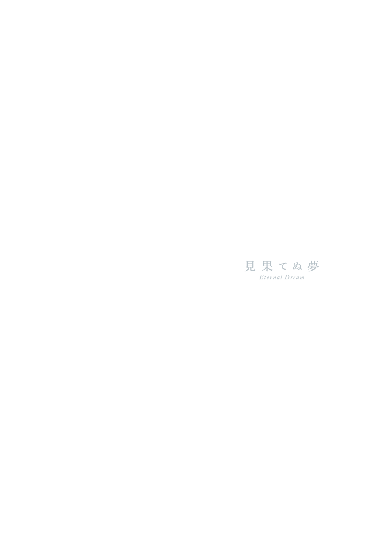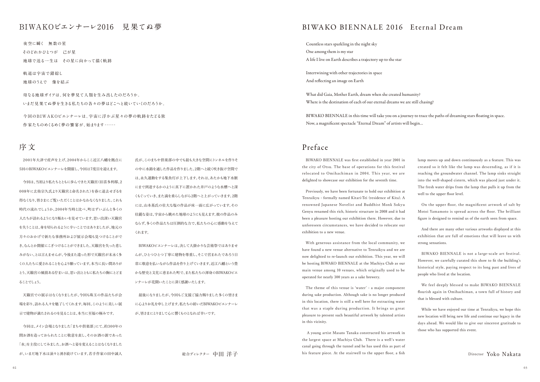2001年大津で産声を上げ、2004年からここ近江八幡を拠点に 5回のBIWAKOビエンナーレを開催し、今回は7度目を迎えます。

今回は、当初より私たちとともに歩んできた天籟宮(旧喜多利邸、2 008年に玄侑宗久氏より天籟宮と命名された)を春に退去せざるを 得なくなり、皆さまにご覧いただくことはかなわなくなりました。これも 時代の流れでしょうか。2004年当時と比べ、町はずいぶんと多くの 人たちが訪れるようになり賑わいを見せています。思い出深い天籟宮 を失うことは、身を切られるように辛いことではありましたが、地元の 方々のおかげで新たな事務所および展示会場も見つけることがで き、なんとか開催にこぎつけることができました。天籟宮を失った悲し みがない、とは言えませんが、今後また違った形で天籟宮が末永く多 くの人たちに愛されることを心より願っています。本当に長い間ありが とう。天籟宮の風情ある佇まいは、思い出とともに私たちの胸にとどま ることでしょう。

天籟宮での展示はなくなりましたが、今回も珠玉の作品たちが会 場を彩り、訪れる人々を魅了してくれます。毎回、このように美しい展 示で建物が満たされるのを見ることは、本当に至福の極みです。

今回は、メイン会場となりました「まちや倶楽部」にて、約300年の 間お酒を造っておられたことに敬意を表し、そのお酒の源であった 「水」を主役にしてみました。お酒へと姿を変えることはなくなりました が、いまだ地下水は滾々と湧き続けています。若手作家の田中誠人

氏が、このまちや倶楽部の中でも最も大きな空間にトンネルを作りそ の中に水路を通した作品を作りました。2階へと続く吹き抜け空間で は、永久運動をする集魚灯が上下します。それは、あたかも地下水脈 にまで到達するかのように真下に置かれた井戸のような水槽へと深 くもぐっていき、また滴を垂らしながら2階へと上がっていきます。2階 には、山本基氏の壮大な塩の作品が床一面に広がっています。その 壮麗な姿は、宇宙から眺めた地球のようにも見えます。彼の作品のみ ならず、多くの作品たちは圧倒的な力で、私たちの心に感動を与えて くれます。

BIWAKOビエンナーレは、決して大掛かりな芸術祭ではありませ んが、ひとつひとつ丁寧に建物を尊重し、そこで営まれたであろう日 常に敬意を払いながら作品を作り上げていきます。近江八幡という豊 かな歴史と文化に恵まれた町で、また私たちの渾身のBIWAKOビエ ンナーレが花開いたことに深く感謝いたします。

最後になりましたが、今回もご支援ご協力賜りました多くの皆さま に心よりお礼を申し上げます。私たちの紡いだBIWAKOビエンナーレ が、皆さまにとりまして心に響くものとなれば幸いです。

**夜空に瞬く 無数の星 そのどれかひとつが 己が星 地球で送る一生は その星に向かって描く軌跡**

**軌道は宇宙で錯綜し 地球のうえで 像を結ぶ**

**母なる地球ガイアは、何を夢見て人類を生み出したのだろうか。 いまだ見果てぬ夢を生きる私たちの各々の夢はどこへと続いていくのだろうか。**

**今回のB IW A K Oビエンナーレは、宇宙に浮かぶ星々の夢の軌跡をたどる旅 作家たちのめくるめく夢の饗宴が、始まります・・・・・・**

## **BIWAKOビエンナーレ2 016 見果てぬ夢**

総合ディレクター 中田 洋子

# BIWAKO BIENNALE 2016 Eternal Dream

# **序 文**

BIWAKO BIENNALE was first established in year 2001 in the city of Otsu. The base of operations for this festival relocated to Omihachiman in 2004. This year, we are delighted to showcase our exhibition for the seventh time.

Previously, we have been fortunate to hold our exhibition at Tenraikyu - formally named Kitari-Tei (residence of Kita). A renowned Japanese Novelist and Buddhist Monk Sokyu Genyu renamed this rich, historic structure in 2008 and it had been a pleasure hosting our exhibition there. However, due to unforeseen circumstances, we have decided to relocate our exhibition to a new venue.

With generous assistance from the local community, we have found a new venue alternative to Tenraikyu and we are now delighted to re-launch our exhibition. This year, we will be hosting BIWAKO BIENNALE at the Machiya Club as our main venue among 10 venues, which originally used to be operated for nearly 300 years as a sake brewery.

The theme of this venue is ʻwater' - a major component during sake production. Although sake is no longer produced in this location, there is still a well here for extracting water that was a staple during production. It brings us great pleasure to present such beautiful artwork by talented artists in this vicinity.

 A young artist Masato Tanaka constructed his artwork in the largest space at Machiya Club. There is a well's water canal going through the tunnel and he has used this as part of his feature piece. At the stairwell to the upper floor, a fish

lamp moves up and down continuously as a feature. This was created so it felt like the lamp was descending, as if it is reaching the groundwater channel. The lamp sinks straight into the well-shaped cistern, which was placed just under it. The fresh water drips from the lamp that pulls it up from the well to the upper floor level.

On the upper floor, the magnificent artwork of salt by Motoi Yamamoto is spread across the floor. The brilliant figure is designed to remind us of the earth seen from space.

And there are many other various artworks displayed at this exhibition that are full of emotions that will leave us with strong sensations.

BIWAKO BIENNALE is not a large-scale art festival. However, we carefully curated this show to fit the building's historical style, paying respect to its long past and lives of people who lived at the location.

We feel deeply blessed to make BIWAKO BIENNALE flourish again in Omihachiman, a town full of history and that is blessed with culture.

While we have enjoyed our time at Tenraikyu, we hope this new location will bring new life and continue our legacy in the days ahead. We would like to give our sincerest gratitude to those who has supported this event.

Countless stars sparkling in the night sky One among them is my star A life I live on Earth describes a trajectory up to the star

Intertwining with other trajectories in space And refecting an image on Earth

What did Gaia, Mother Earth, dream when she created humanity? Where is the destination of each of our eternal dreams we are still chasing?

BIWAKO BIENNALE in this time will take you on a journey to trace the paths of dreaming stars foating in space. Now, a magnifcent spectacle "Eternal Dream" of artists will begin…

#### Director Yoko Nakata

# Preface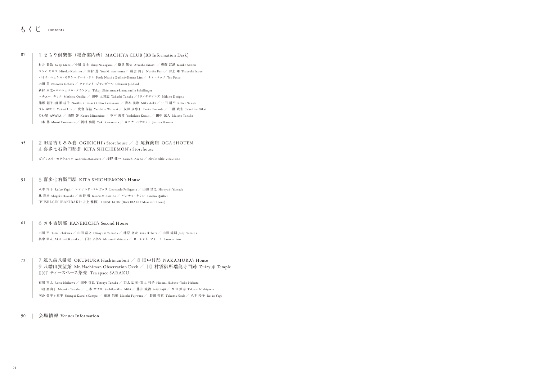#### 45 2 **旧扇吉もろみ倉** OGIKICHI's Storehouse **/** 3 **尾賀商店** OGA SHOTEN 4 **喜多七右衛門邸倉** KITA SHICHIEMON's Storehouse

**ガブリエラ・モラウェッツ** Gabriela Morawetz **/ 淺野 健一** Kenichi Asano **/ circle side** circle side

#### 51 5 **喜多七右衛門邸** KITA SHICHIEMON's House

**八木 玲子** Reiko Yagi **/ レオナルド・ペレガッタ** Leonardo Pellegatta **/ 山田 浩之** Hiroyuki Yamada **林 茂樹** Shigeki Hayashi **/ 南野 馨** Kaoru Minamino **/ パンチョ・キリシ** Pancho Quilici **IBUSHI-GIN(BAKIBAKI+井上 雅博)** IBUSHI-GIN (BAKIBAKI**+**Masahiro Inoue)

#### 61 6 **カネ吉別邸** KANEKICHI's Second House

**市川 平** Taira Ichikawa **/ 山田 浩之** Hiroyuki Yamada **/ 池原 悠太** Yuta Ikehara **/ 山田 純嗣** Junji Yamada **奥中 章人** Akihito Okunaka **/ 石村 まなみ** Manami Ishimura **/ ローレント・フォート** Laurent Fort

#### 90 **会場情報** Venues Information

### 73 7 **遠久邑八幡堀** OKUMURA Hachimanbori **/** 8 **旧中村邸** NAK AMUR A's House 9 **八幡山展望館** Mt.Hachiman Observation Deck **/** 10 **村雲御所瑞龍寺門跡** Zuiryuji Temple EXT **ティースペース茶楽** Tea space SAR AKU

**石川 雷太** Raita Ishikawa **/ 田中 哲也** Tetsuya Tanaka **/ 羽太 広海**+**羽太 祐子** Hiromi Habuto+Yuko Habuto **田辺 磨由子** Mayuko Tanabe **/ 三木 サチコ** Sachiko Mini Miki **/ 藤井 誠治** Seiji Fujii **/ 西山 武志** Takeshi Nishiyama **河合 晋平** + **君平** Shimpei Kawai+Kumpei **/ 藤原 昌樹** Masaki Fujiwara **/ 野田 拓真** Takuma Noda **/ 八木 玲子** Reiko Yagi

# **もくじ** contents

#### 1 **まちや倶楽部(総合案内所)**MACHIYA CLUB (BB Information Desk) 07

**村井 賢治** Kenji Murai**/中川 周士** Shuji Nakagawa **/ 塩見 篤史** Atsushi Shiomi **/ 齊藤 江湖** Kouko Saitou **コシノ ヒロコ** Hiroko Koshino **/ 南村 遊** Yuu Minamimura **/ 藤居 典子** Noriko Fujii **/ 井上 剛** Tsuyoshi Inoue **パオラ・ニュシカ・キリシ** + **ドーナ・リン** Paola Niuska Quilici+Douna Lim **/ テオ・ペッソ** Teo Pesso **内田 望** Nozomu Uchida **/ クレメント・ジャンダール** Clément Jandard **新村 卓之**+**エマニュエル・シランジェ** Takuji Shimmura+Emmanuelle Schillinger **マチュー・キリシ** Mathieu Quilici **/ 田中 太賀志** Takashi Tanaka **/ミラノデザインズ** Milano Designs **熊瀬 紀子**+**熊澤 桂子** Noriko Kumase+Keiko Kumazawa **/ 青木 美歌** Mika Aoki **/ 中田 耕平** Kohei Nakata **うら ゆかり** Yukari Ura **/ 度會 保浩** Yasuhiro Watarai **/ 友田 多恵子** Taeko Tomoda **/ 二階 武宏** Takehiro Nikai **あわ屋** AWAYA **/ 南野 馨** Kaoru Minamino **/ 草木 義博** Yoshihiro Kusaki **/ 田中 誠人** Masato Tanaka **山本 基** Motoi Yamamoto **/ 河村 勇樹** Yuki Kawamura **/ ヨアナ・ハウロット** Joanna Hawrot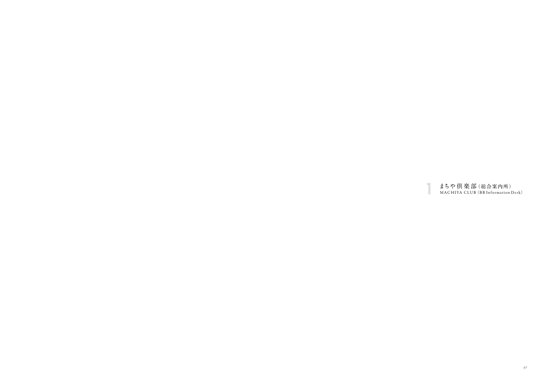# まちや倶楽部(総合案内所)<br>MACHIYA CLUB(BB Information Desk)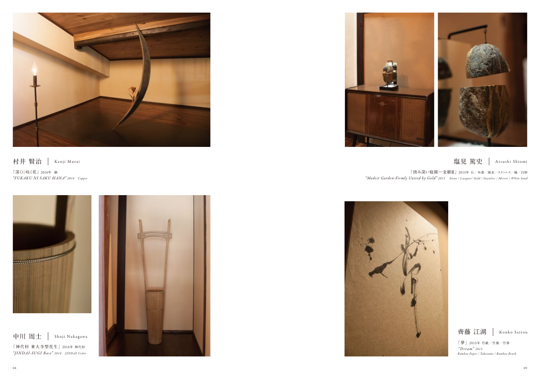

 **村井 賢治** Kenji Murai

**「深くに咲く花」 2016年 銅** "FUKAKU NI SAKU HANA" 2016 Copper



中川 周士 | Shuji Nakagawa

# **塩見 篤史** Atsushi Shiomi

**「夢」2015年 竹紙/竹墨/竹筆** "Dream" 2015 Bamboo Paper / Takezumi / Bamboo Brush

**「慎み深い庭園―金継Ⅲ」 2015年 石/本漆/純金/ステンレス/鏡/白砂** "Modest Garden-Firmly United by Gold" 2015 Stone / Lacquer/ Gold / Stainless / Mirror / White Sand

齊藤 江湖 | Kouko Saitou

**「神代杉 東大寺型花生」2016年 神代杉** "JINDAI-SUGI Base" 2016 JINDAI Ceder





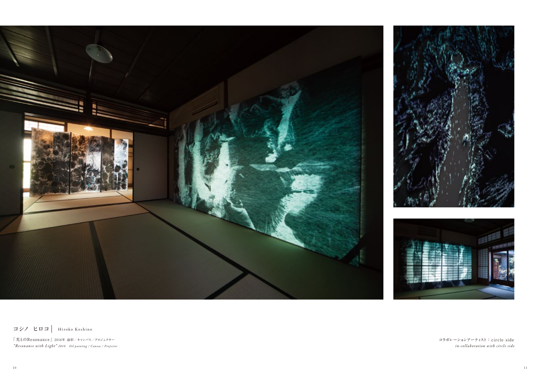

**コシノ ヒロコ** Hiroko Koshino

**「光とのResonance」2016年 油彩/キャンバス/プロジェクター** "Resonance with Light" 2016 Oil painting / Canvas / Projector





**コラボレーションアーティスト : circle side** in-collaboration with circle side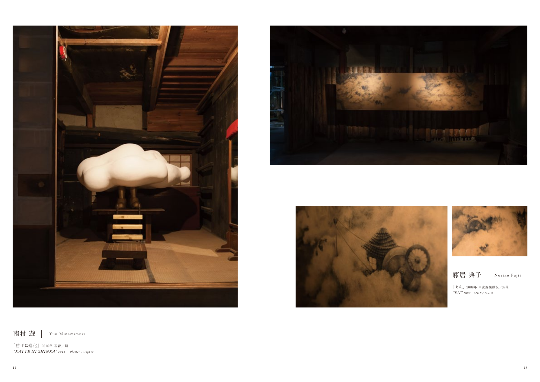**南村 遊** Yuu Minamimura

**「勝手に進化」2016年 石膏/銅** "KATTE NI SHINKA" 2016 Plaster / Copper